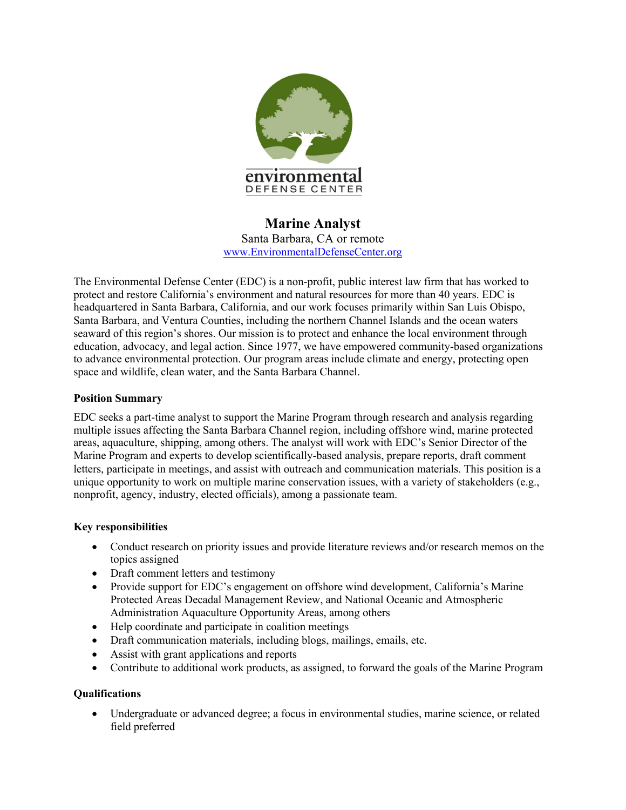

# **Marine Analyst** Santa Barbara, CA or remote www.EnvironmentalDefenseCenter.org

The Environmental Defense Center (EDC) is a non-profit, public interest law firm that has worked to protect and restore California's environment and natural resources for more than 40 years. EDC is headquartered in Santa Barbara, California, and our work focuses primarily within San Luis Obispo, Santa Barbara, and Ventura Counties, including the northern Channel Islands and the ocean waters seaward of this region's shores. Our mission is to protect and enhance the local environment through education, advocacy, and legal action. Since 1977, we have empowered community-based organizations to advance environmental protection. Our program areas include climate and energy, protecting open space and wildlife, clean water, and the Santa Barbara Channel.

## **Position Summary**

EDC seeks a part-time analyst to support the Marine Program through research and analysis regarding multiple issues affecting the Santa Barbara Channel region, including offshore wind, marine protected areas, aquaculture, shipping, among others. The analyst will work with EDC's Senior Director of the Marine Program and experts to develop scientifically-based analysis, prepare reports, draft comment letters, participate in meetings, and assist with outreach and communication materials. This position is a unique opportunity to work on multiple marine conservation issues, with a variety of stakeholders (e.g., nonprofit, agency, industry, elected officials), among a passionate team.

### **Key responsibilities**

- Conduct research on priority issues and provide literature reviews and/or research memos on the topics assigned
- Draft comment letters and testimony
- Provide support for EDC's engagement on offshore wind development, California's Marine Protected Areas Decadal Management Review, and National Oceanic and Atmospheric Administration Aquaculture Opportunity Areas, among others
- Help coordinate and participate in coalition meetings
- Draft communication materials, including blogs, mailings, emails, etc.
- Assist with grant applications and reports
- Contribute to additional work products, as assigned, to forward the goals of the Marine Program

### **Qualifications**

• Undergraduate or advanced degree; a focus in environmental studies, marine science, or related field preferred